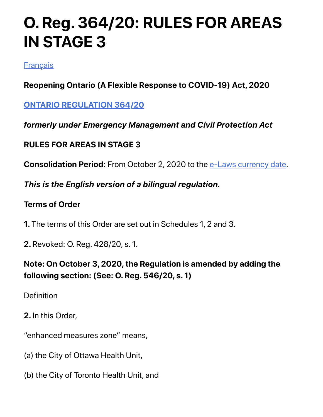# **O. Reg. 364/20: RULES FOR AREAS IN STAGE 3**

#### **[Français](http://www.ontario.ca/fr/lois/reglement/200364)**

### **Reopening Ontario (A Flexible Response to COVID-19) Act, 2020**

**[ONTARIO REGULATION 364/20](https://www.ontario.ca/laws/regulation/r20364)**

#### *formerly under Emergency Management and Civil Protection Act*

### **RULES FOR AREAS IN STAGE 3**

**Consolidation Period:** From October 2, 2020 to the [e-Laws currency date.](http://www.e-laws.gov.on.ca/navigation?file=currencyDates&lang=en)

#### *This is the English version of a bilingual regulation.*

#### **Terms of Order**

- **1.** The terms of this Order are set out in Schedules 1, 2 and 3.
- **2.** Revoked: O. Reg. 428/20, s. 1.

### **Note: On October 3, 2020, the Regulation is amended by adding the following section: (See: O. Reg. 546/20, s. 1)**

**Definition** 

**2.** In this Order,

"enhanced measures zone" means,

- (a) the City of Ottawa Health Unit,
- (b) the City of Toronto Health Unit, and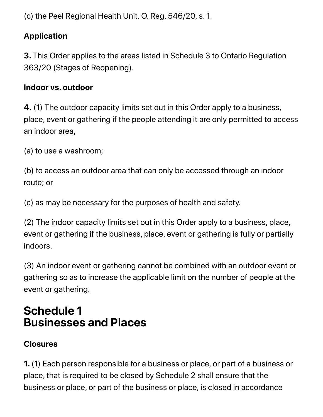(c) the Peel Regional Health Unit. O. Reg. 546/20, s. 1.

### **Application**

**3.** This Order applies to the areas listed in Schedule 3 to Ontario Regulation 363/20 (Stages of Reopening).

#### **Indoor vs. outdoor**

**4.** (1) The outdoor capacity limits set out in this Order apply to a business, place, event or gathering if the people attending it are only permitted to access an indoor area,

(a) to use a washroom;

(b) to access an outdoor area that can only be accessed through an indoor route; or

(c) as may be necessary for the purposes of health and safety.

(2) The indoor capacity limits set out in this Order apply to a business, place, event or gathering if the business, place, event or gathering is fully or partially indoors.

(3) An indoor event or gathering cannot be combined with an outdoor event or gathering so as to increase the applicable limit on the number of people at the event or gathering.

## **Schedule 1 Businesses and Places**

#### **Closures**

**1.** (1) Each person responsible for a business or place, or part of a business or place, that is required to be closed by Schedule 2 shall ensure that the business or place, or part of the business or place, is closed in accordance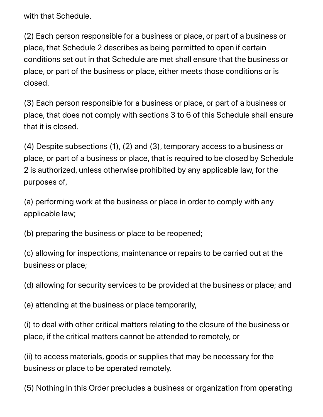with that Schedule.

(2) Each person responsible for a business or place, or part of a business or place, that Schedule 2 describes as being permitted to open if certain conditions set out in that Schedule are met shall ensure that the business or place, or part of the business or place, either meets those conditions or is closed.

(3) Each person responsible for a business or place, or part of a business or place, that does not comply with sections 3 to 6 of this Schedule shall ensure that it is closed.

(4) Despite subsections (1), (2) and (3), temporary access to a business or place, or part of a business or place, that is required to be closed by Schedule 2 is authorized, unless otherwise prohibited by any applicable law, for the purposes of,

(a) performing work at the business or place in order to comply with any applicable law;

(b) preparing the business or place to be reopened;

(c) allowing for inspections, maintenance or repairs to be carried out at the business or place;

(d) allowing for security services to be provided at the business or place; and

(e) attending at the business or place temporarily,

(i) to deal with other critical matters relating to the closure of the business or place, if the critical matters cannot be attended to remotely, or

(ii) to access materials, goods or supplies that may be necessary for the business or place to be operated remotely.

(5) Nothing in this Order precludes a business or organization from operating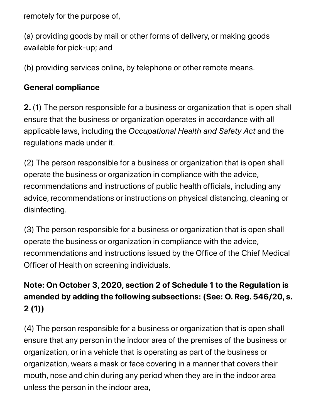remotely for the purpose of,

(a) providing goods by mail or other forms of delivery, or making goods available for pick-up; and

(b) providing services online, by telephone or other remote means.

#### **General compliance**

**2.** (1) The person responsible for a business or organization that is open shall ensure that the business or organization operates in accordance with all applicable laws, including the *Occupational Health and Safety Act* and the regulations made under it.

(2) The person responsible for a business or organization that is open shall operate the business or organization in compliance with the advice, recommendations and instructions of public health officials, including any advice, recommendations or instructions on physical distancing, cleaning or disinfecting.

(3) The person responsible for a business or organization that is open shall operate the business or organization in compliance with the advice, recommendations and instructions issued by the Office of the Chief Medical Officer of Health on screening individuals.

### **Note: On October 3, 2020, section 2 of Schedule 1 to the Regulation is amended by adding the following subsections: (See: O. Reg. 546/20, s. 2 (1))**

(4) The person responsible for a business or organization that is open shall ensure that any person in the indoor area of the premises of the business or organization, or in a vehicle that is operating as part of the business or organization, wears a mask or face covering in a manner that covers their mouth, nose and chin during any period when they are in the indoor area unless the person in the indoor area,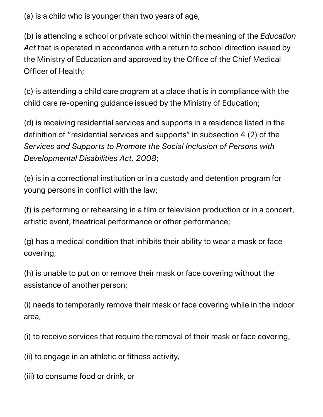(a) is a child who is younger than two years of age;

(b) is attending a school or private school within the meaning of the *Education Act* that is operated in accordance with a return to school direction issued by the Ministry of Education and approved by the Office of the Chief Medical Officer of Health;

(c) is attending a child care program at a place that is in compliance with the child care re-opening guidance issued by the Ministry of Education;

(d) is receiving residential services and supports in a residence listed in the definition of "residential services and supports" in subsection 4 (2) of the *Services and Supports to Promote the Social Inclusion of Persons with Developmental Disabilities Act, 2008*;

(e) is in a correctional institution or in a custody and detention program for young persons in conflict with the law;

(f) is performing or rehearsing in a film or television production or in a concert, artistic event, theatrical performance or other performance;

(g) has a medical condition that inhibits their ability to wear a mask or face covering;

(h) is unable to put on or remove their mask or face covering without the assistance of another person;

(i) needs to temporarily remove their mask or face covering while in the indoor area,

(i) to receive services that require the removal of their mask or face covering,

(ii) to engage in an athletic or fitness activity,

(iii) to consume food or drink, or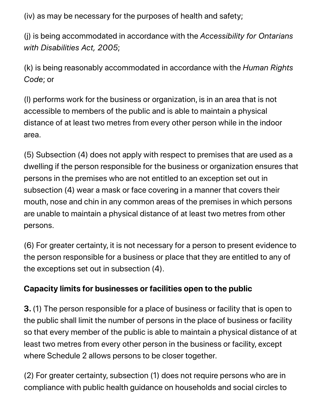(iv) as may be necessary for the purposes of health and safety;

(j) is being accommodated in accordance with the *Accessibility for Ontarians with Disabilities Act, 2005*;

(k) is being reasonably accommodated in accordance with the *Human Rights Code*; or

(l) performs work for the business or organization, is in an area that is not accessible to members of the public and is able to maintain a physical distance of at least two metres from every other person while in the indoor area.

(5) Subsection (4) does not apply with respect to premises that are used as a dwelling if the person responsible for the business or organization ensures that persons in the premises who are not entitled to an exception set out in subsection (4) wear a mask or face covering in a manner that covers their mouth, nose and chin in any common areas of the premises in which persons are unable to maintain a physical distance of at least two metres from other persons.

(6) For greater certainty, it is not necessary for a person to present evidence to the person responsible for a business or place that they are entitled to any of the exceptions set out in subsection (4).

#### **Capacity limits for businesses or facilities open to the public**

**3.** (1) The person responsible for a place of business or facility that is open to the public shall limit the number of persons in the place of business or facility so that every member of the public is able to maintain a physical distance of at least two metres from every other person in the business or facility, except where Schedule 2 allows persons to be closer together.

(2) For greater certainty, subsection (1) does not require persons who are in compliance with public health guidance on households and social circles to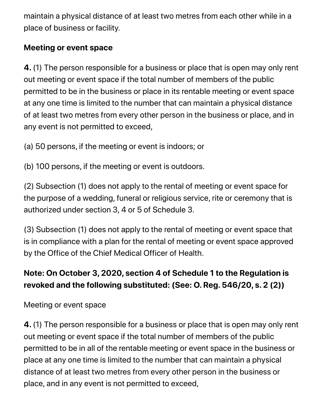maintain a physical distance of at least two metres from each other while in a place of business or facility.

#### **Meeting or event space**

**4.** (1) The person responsible for a business or place that is open may only rent out meeting or event space if the total number of members of the public permitted to be in the business or place in its rentable meeting or event space at any one time is limited to the number that can maintain a physical distance of at least two metres from every other person in the business or place, and in any event is not permitted to exceed,

(a) 50 persons, if the meeting or event is indoors; or

(b) 100 persons, if the meeting or event is outdoors.

(2) Subsection (1) does not apply to the rental of meeting or event space for the purpose of a wedding, funeral or religious service, rite or ceremony that is authorized under section 3, 4 or 5 of Schedule 3.

(3) Subsection (1) does not apply to the rental of meeting or event space that is in compliance with a plan for the rental of meeting or event space approved by the Office of the Chief Medical Officer of Health.

### **Note: On October 3, 2020, section 4 of Schedule 1 to the Regulation is revoked and the following substituted: (See: O. Reg. 546/20, s. 2 (2))**

Meeting or event space

**4.** (1) The person responsible for a business or place that is open may only rent out meeting or event space if the total number of members of the public permitted to be in all of the rentable meeting or event space in the business or place at any one time is limited to the number that can maintain a physical distance of at least two metres from every other person in the business or place, and in any event is not permitted to exceed,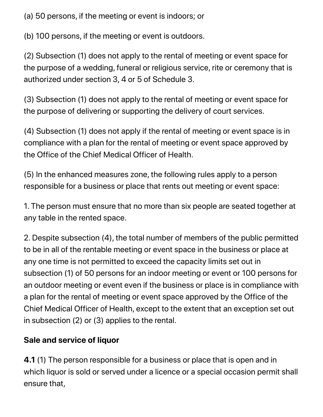(a) 50 persons, if the meeting or event is indoors; or

(b) 100 persons, if the meeting or event is outdoors.

(2) Subsection (1) does not apply to the rental of meeting or event space for the purpose of a wedding, funeral or religious service, rite or ceremony that is authorized under section 3, 4 or 5 of Schedule 3.

(3) Subsection (1) does not apply to the rental of meeting or event space for the purpose of delivering or supporting the delivery of court services.

(4) Subsection (1) does not apply if the rental of meeting or event space is in compliance with a plan for the rental of meeting or event space approved by the Office of the Chief Medical Officer of Health.

(5) In the enhanced measures zone, the following rules apply to a person responsible for a business or place that rents out meeting or event space:

1. The person must ensure that no more than six people are seated together at any table in the rented space.

2. Despite subsection (4), the total number of members of the public permitted to be in all of the rentable meeting or event space in the business or place at any one time is not permitted to exceed the capacity limits set out in subsection (1) of 50 persons for an indoor meeting or event or 100 persons for an outdoor meeting or event even if the business or place is in compliance with a plan for the rental of meeting or event space approved by the Office of the Chief Medical Officer of Health, except to the extent that an exception set out in subsection (2) or (3) applies to the rental.

#### **Sale and service of liquor**

**4.1** (1) The person responsible for a business or place that is open and in which liquor is sold or served under a licence or a special occasion permit shall ensure that,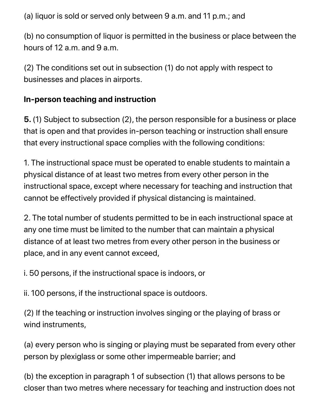(a) liquor is sold or served only between 9 a.m. and 11 p.m.; and

(b) no consumption of liquor is permitted in the business or place between the hours of 12 a.m. and 9 a.m.

(2) The conditions set out in subsection (1) do not apply with respect to businesses and places in airports.

#### **In-person teaching and instruction**

**5.** (1) Subject to subsection (2), the person responsible for a business or place that is open and that provides in-person teaching or instruction shall ensure that every instructional space complies with the following conditions:

1. The instructional space must be operated to enable students to maintain a physical distance of at least two metres from every other person in the instructional space, except where necessary for teaching and instruction that cannot be effectively provided if physical distancing is maintained.

2. The total number of students permitted to be in each instructional space at any one time must be limited to the number that can maintain a physical distance of at least two metres from every other person in the business or place, and in any event cannot exceed,

i. 50 persons, if the instructional space is indoors, or

ii. 100 persons, if the instructional space is outdoors.

(2) If the teaching or instruction involves singing or the playing of brass or wind instruments,

(a) every person who is singing or playing must be separated from every other person by plexiglass or some other impermeable barrier; and

(b) the exception in paragraph 1 of subsection (1) that allows persons to be closer than two metres where necessary for teaching and instruction does not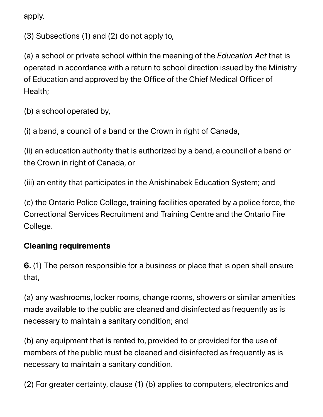apply.

(3) Subsections (1) and (2) do not apply to,

(a) a school or private school within the meaning of the *Education Act* that is operated in accordance with a return to school direction issued by the Ministry of Education and approved by the Office of the Chief Medical Officer of Health;

(b) a school operated by,

(i) a band, a council of a band or the Crown in right of Canada,

(ii) an education authority that is authorized by a band, a council of a band or the Crown in right of Canada, or

(iii) an entity that participates in the Anishinabek Education System; and

(c) the Ontario Police College, training facilities operated by a police force, the Correctional Services Recruitment and Training Centre and the Ontario Fire College.

#### **Cleaning requirements**

**6.** (1) The person responsible for a business or place that is open shall ensure that,

(a) any washrooms, locker rooms, change rooms, showers or similar amenities made available to the public are cleaned and disinfected as frequently as is necessary to maintain a sanitary condition; and

(b) any equipment that is rented to, provided to or provided for the use of members of the public must be cleaned and disinfected as frequently as is necessary to maintain a sanitary condition.

(2) For greater certainty, clause (1) (b) applies to computers, electronics and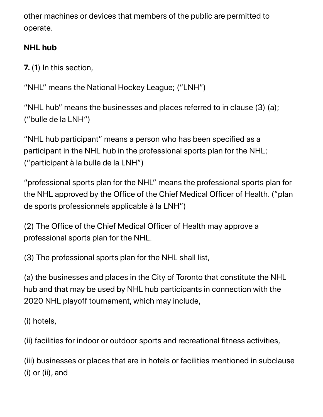other machines or devices that members of the public are permitted to operate.

### **NHL hub**

**7.** (1) In this section,

"NHL" means the National Hockey League; ("LNH")

"NHL hub" means the businesses and places referred to in clause (3) (a); ("bulle de la LNH")

"NHL hub participant" means a person who has been specified as a participant in the NHL hub in the professional sports plan for the NHL; ("participant à la bulle de la LNH")

"professional sports plan for the NHL" means the professional sports plan for the NHL approved by the Office of the Chief Medical Officer of Health. ("plan de sports professionnels applicable à la LNH")

(2) The Office of the Chief Medical Officer of Health may approve a professional sports plan for the NHL.

(3) The professional sports plan for the NHL shall list,

(a) the businesses and places in the City of Toronto that constitute the NHL hub and that may be used by NHL hub participants in connection with the 2020 NHL playoff tournament, which may include,

(i) hotels,

(ii) facilities for indoor or outdoor sports and recreational fitness activities,

(iii) businesses or places that are in hotels or facilities mentioned in subclause (i) or (ii), and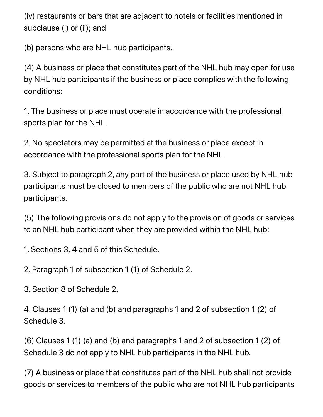(iv) restaurants or bars that are adjacent to hotels or facilities mentioned in subclause (i) or (ii); and

(b) persons who are NHL hub participants.

(4) A business or place that constitutes part of the NHL hub may open for use by NHL hub participants if the business or place complies with the following conditions:

1. The business or place must operate in accordance with the professional sports plan for the NHL.

2. No spectators may be permitted at the business or place except in accordance with the professional sports plan for the NHL.

3. Subject to paragraph 2, any part of the business or place used by NHL hub participants must be closed to members of the public who are not NHL hub participants.

(5) The following provisions do not apply to the provision of goods or services to an NHL hub participant when they are provided within the NHL hub:

1. Sections 3, 4 and 5 of this Schedule.

2. Paragraph 1 of subsection 1 (1) of Schedule 2.

3. Section 8 of Schedule 2.

4. Clauses 1 (1) (a) and (b) and paragraphs 1 and 2 of subsection 1 (2) of Schedule 3.

(6) Clauses 1 (1) (a) and (b) and paragraphs 1 and 2 of subsection 1 (2) of Schedule 3 do not apply to NHL hub participants in the NHL hub.

(7) A business or place that constitutes part of the NHL hub shall not provide goods or services to members of the public who are not NHL hub participants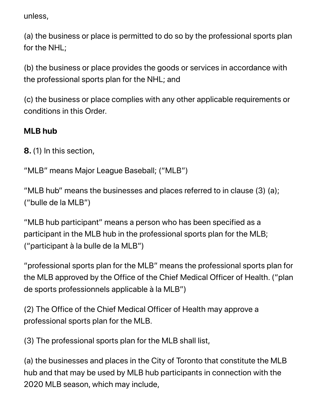unless,

(a) the business or place is permitted to do so by the professional sports plan for the NHL;

(b) the business or place provides the goods or services in accordance with the professional sports plan for the NHL; and

(c) the business or place complies with any other applicable requirements or conditions in this Order.

#### **MLB hub**

**8.** (1) In this section,

"MLB" means Major League Baseball; ("MLB")

"MLB hub" means the businesses and places referred to in clause (3) (a); ("bulle de la MLB")

"MLB hub participant" means a person who has been specified as a participant in the MLB hub in the professional sports plan for the MLB; ("participant à la bulle de la MLB")

"professional sports plan for the MLB" means the professional sports plan for the MLB approved by the Office of the Chief Medical Officer of Health. ("plan de sports professionnels applicable à la MLB")

(2) The Office of the Chief Medical Officer of Health may approve a professional sports plan for the MLB.

(3) The professional sports plan for the MLB shall list,

(a) the businesses and places in the City of Toronto that constitute the MLB hub and that may be used by MLB hub participants in connection with the 2020 MLB season, which may include,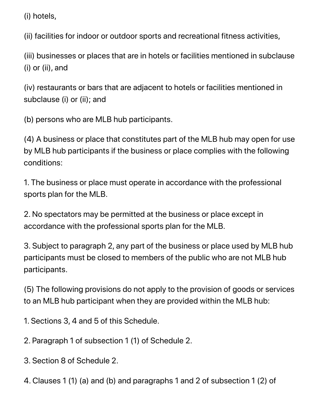(i) hotels,

(ii) facilities for indoor or outdoor sports and recreational fitness activities,

(iii) businesses or places that are in hotels or facilities mentioned in subclause (i) or (ii), and

(iv) restaurants or bars that are adjacent to hotels or facilities mentioned in subclause (i) or (ii); and

(b) persons who are MLB hub participants.

(4) A business or place that constitutes part of the MLB hub may open for use by MLB hub participants if the business or place complies with the following conditions:

1. The business or place must operate in accordance with the professional sports plan for the MLB.

2. No spectators may be permitted at the business or place except in accordance with the professional sports plan for the MLB.

3. Subject to paragraph 2, any part of the business or place used by MLB hub participants must be closed to members of the public who are not MLB hub participants.

(5) The following provisions do not apply to the provision of goods or services to an MLB hub participant when they are provided within the MLB hub:

1. Sections 3, 4 and 5 of this Schedule.

2. Paragraph 1 of subsection 1 (1) of Schedule 2.

- 3. Section 8 of Schedule 2.
- 4. Clauses 1 (1) (a) and (b) and paragraphs 1 and 2 of subsection 1 (2) of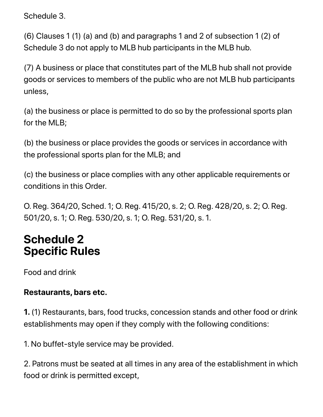Schedule 3.

(6) Clauses 1 (1) (a) and (b) and paragraphs 1 and 2 of subsection 1 (2) of Schedule 3 do not apply to MLB hub participants in the MLB hub.

(7) A business or place that constitutes part of the MLB hub shall not provide goods or services to members of the public who are not MLB hub participants unless,

(a) the business or place is permitted to do so by the professional sports plan for the MLB;

(b) the business or place provides the goods or services in accordance with the professional sports plan for the MLB; and

(c) the business or place complies with any other applicable requirements or conditions in this Order.

O. Reg. 364/20, Sched. 1; O. Reg. 415/20, s. 2; O. Reg. 428/20, s. 2; O. Reg. 501/20, s. 1; O. Reg. 530/20, s. 1; O. Reg. 531/20, s. 1.

# **Schedule 2 Specific Rules**

Food and drink

#### **Restaurants, bars etc.**

**1.** (1) Restaurants, bars, food trucks, concession stands and other food or drink establishments may open if they comply with the following conditions:

1. No buffet-style service may be provided.

2. Patrons must be seated at all times in any area of the establishment in which food or drink is permitted except,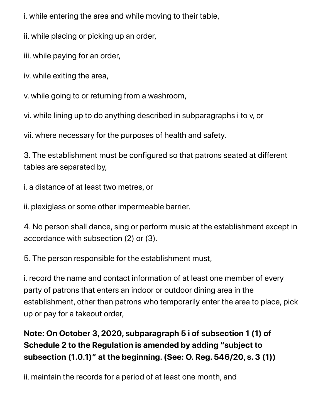i. while entering the area and while moving to their table,

ii. while placing or picking up an order,

iii. while paying for an order,

iv. while exiting the area,

v. while going to or returning from a washroom,

vi. while lining up to do anything described in subparagraphs i to v, or

vii. where necessary for the purposes of health and safety.

3. The establishment must be configured so that patrons seated at different tables are separated by,

i. a distance of at least two metres, or

ii. plexiglass or some other impermeable barrier.

4. No person shall dance, sing or perform music at the establishment except in accordance with subsection (2) or (3).

5. The person responsible for the establishment must,

i. record the name and contact information of at least one member of every party of patrons that enters an indoor or outdoor dining area in the establishment, other than patrons who temporarily enter the area to place, pick up or pay for a takeout order,

### **Note: On October 3, 2020, subparagraph 5 i of subsection 1 (1) of Schedule 2 to the Regulation is amended by adding "subject to subsection (1.0.1)" at the beginning. (See: O. Reg. 546/20, s. 3 (1))**

ii. maintain the records for a period of at least one month, and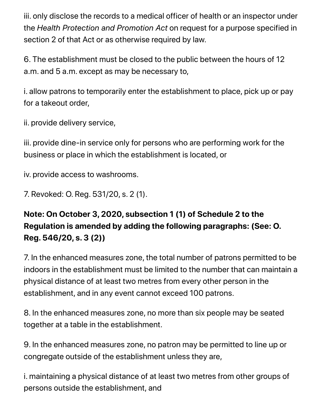iii. only disclose the records to a medical officer of health or an inspector under the *Health Protection and Promotion Act* on request for a purpose specified in section 2 of that Act or as otherwise required by law.

6. The establishment must be closed to the public between the hours of 12 a.m. and 5 a.m. except as may be necessary to,

i. allow patrons to temporarily enter the establishment to place, pick up or pay for a takeout order,

ii. provide delivery service,

iii. provide dine-in service only for persons who are performing work for the business or place in which the establishment is located, or

iv. provide access to washrooms.

7. Revoked: O. Reg. 531/20, s. 2 (1).

### **Note: On October 3, 2020, subsection 1 (1) of Schedule 2 to the Regulation is amended by adding the following paragraphs: (See: O. Reg. 546/20, s. 3 (2))**

7. In the enhanced measures zone, the total number of patrons permitted to be indoors in the establishment must be limited to the number that can maintain a physical distance of at least two metres from every other person in the establishment, and in any event cannot exceed 100 patrons.

8. In the enhanced measures zone, no more than six people may be seated together at a table in the establishment.

9. In the enhanced measures zone, no patron may be permitted to line up or congregate outside of the establishment unless they are,

i. maintaining a physical distance of at least two metres from other groups of persons outside the establishment, and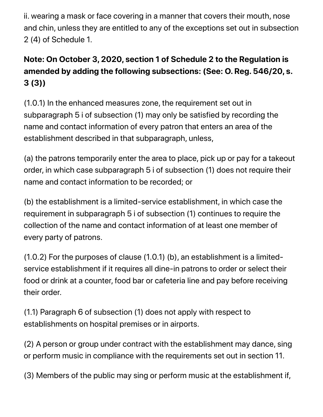ii. wearing a mask or face covering in a manner that covers their mouth, nose and chin, unless they are entitled to any of the exceptions set out in subsection 2 (4) of Schedule 1.

### **Note: On October 3, 2020, section 1 of Schedule 2 to the Regulation is amended by adding the following subsections: (See: O. Reg. 546/20, s. 3 (3))**

(1.0.1) In the enhanced measures zone, the requirement set out in subparagraph 5 i of subsection (1) may only be satisfied by recording the name and contact information of every patron that enters an area of the establishment described in that subparagraph, unless,

(a) the patrons temporarily enter the area to place, pick up or pay for a takeout order, in which case subparagraph 5 i of subsection (1) does not require their name and contact information to be recorded; or

(b) the establishment is a limited-service establishment, in which case the requirement in subparagraph 5 i of subsection (1) continues to require the collection of the name and contact information of at least one member of every party of patrons.

(1.0.2) For the purposes of clause (1.0.1) (b), an establishment is a limitedservice establishment if it requires all dine-in patrons to order or select their food or drink at a counter, food bar or cafeteria line and pay before receiving their order.

(1.1) Paragraph 6 of subsection (1) does not apply with respect to establishments on hospital premises or in airports.

(2) A person or group under contract with the establishment may dance, sing or perform music in compliance with the requirements set out in section 11.

(3) Members of the public may sing or perform music at the establishment if,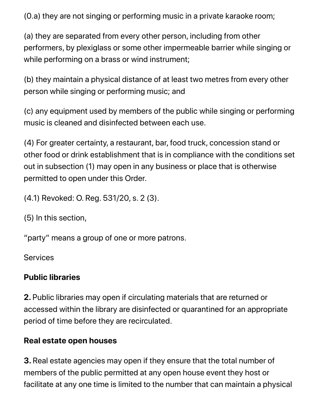(0.a) they are not singing or performing music in a private karaoke room;

(a) they are separated from every other person, including from other performers, by plexiglass or some other impermeable barrier while singing or while performing on a brass or wind instrument;

(b) they maintain a physical distance of at least two metres from every other person while singing or performing music; and

(c) any equipment used by members of the public while singing or performing music is cleaned and disinfected between each use.

(4) For greater certainty, a restaurant, bar, food truck, concession stand or other food or drink establishment that is in compliance with the conditions set out in subsection (1) may open in any business or place that is otherwise permitted to open under this Order.

(4.1) Revoked: O. Reg. 531/20, s. 2 (3).

(5) In this section,

"party" means a group of one or more patrons.

**Services** 

#### **Public libraries**

**2.** Public libraries may open if circulating materials that are returned or accessed within the library are disinfected or quarantined for an appropriate period of time before they are recirculated.

#### **Real estate open houses**

**3.** Real estate agencies may open if they ensure that the total number of members of the public permitted at any open house event they host or facilitate at any one time is limited to the number that can maintain a physical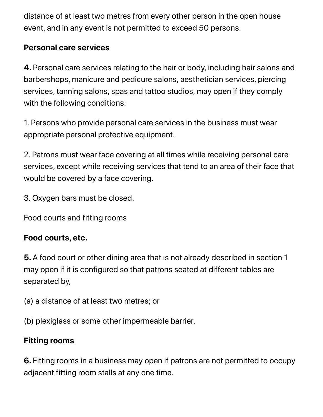distance of at least two metres from every other person in the open house event, and in any event is not permitted to exceed 50 persons.

#### **Personal care services**

**4.** Personal care services relating to the hair or body, including hair salons and barbershops, manicure and pedicure salons, aesthetician services, piercing services, tanning salons, spas and tattoo studios, may open if they comply with the following conditions:

1. Persons who provide personal care services in the business must wear appropriate personal protective equipment.

2. Patrons must wear face covering at all times while receiving personal care services, except while receiving services that tend to an area of their face that would be covered by a face covering.

3. Oxygen bars must be closed.

Food courts and fitting rooms

#### **Food courts, etc.**

**5.** A food court or other dining area that is not already described in section 1 may open if it is configured so that patrons seated at different tables are separated by,

(a) a distance of at least two metres; or

(b) plexiglass or some other impermeable barrier.

#### **Fitting rooms**

**6.** Fitting rooms in a business may open if patrons are not permitted to occupy adjacent fitting room stalls at any one time.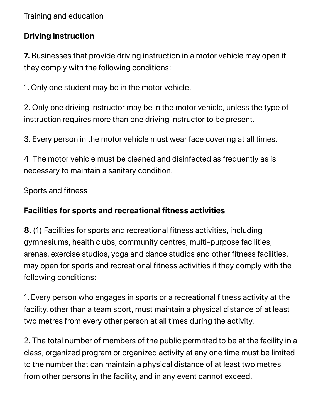Training and education

#### **Driving instruction**

**7.** Businesses that provide driving instruction in a motor vehicle may open if they comply with the following conditions:

1. Only one student may be in the motor vehicle.

2. Only one driving instructor may be in the motor vehicle, unless the type of instruction requires more than one driving instructor to be present.

3. Every person in the motor vehicle must wear face covering at all times.

4. The motor vehicle must be cleaned and disinfected as frequently as is necessary to maintain a sanitary condition.

Sports and fitness

#### **Facilities for sports and recreational fitness activities**

**8.** (1) Facilities for sports and recreational fitness activities, including gymnasiums, health clubs, community centres, multi-purpose facilities, arenas, exercise studios, yoga and dance studios and other fitness facilities, may open for sports and recreational fitness activities if they comply with the following conditions:

1. Every person who engages in sports or a recreational fitness activity at the facility, other than a team sport, must maintain a physical distance of at least two metres from every other person at all times during the activity.

2. The total number of members of the public permitted to be at the facility in a class, organized program or organized activity at any one time must be limited to the number that can maintain a physical distance of at least two metres from other persons in the facility, and in any event cannot exceed,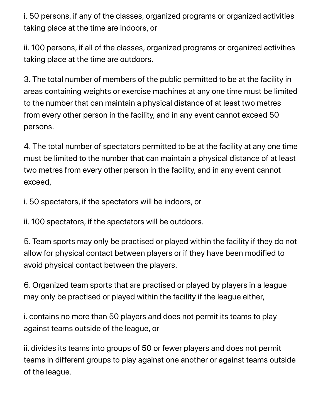i. 50 persons, if any of the classes, organized programs or organized activities taking place at the time are indoors, or

ii. 100 persons, if all of the classes, organized programs or organized activities taking place at the time are outdoors.

3. The total number of members of the public permitted to be at the facility in areas containing weights or exercise machines at any one time must be limited to the number that can maintain a physical distance of at least two metres from every other person in the facility, and in any event cannot exceed 50 persons.

4. The total number of spectators permitted to be at the facility at any one time must be limited to the number that can maintain a physical distance of at least two metres from every other person in the facility, and in any event cannot exceed,

i. 50 spectators, if the spectators will be indoors, or

ii. 100 spectators, if the spectators will be outdoors.

5. Team sports may only be practised or played within the facility if they do not allow for physical contact between players or if they have been modified to avoid physical contact between the players.

6. Organized team sports that are practised or played by players in a league may only be practised or played within the facility if the league either,

i. contains no more than 50 players and does not permit its teams to play against teams outside of the league, or

ii. divides its teams into groups of 50 or fewer players and does not permit teams in different groups to play against one another or against teams outside of the league.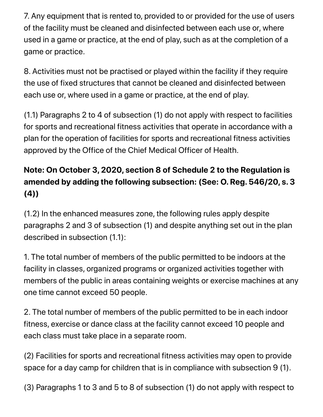7. Any equipment that is rented to, provided to or provided for the use of users of the facility must be cleaned and disinfected between each use or, where used in a game or practice, at the end of play, such as at the completion of a game or practice.

8. Activities must not be practised or played within the facility if they require the use of fixed structures that cannot be cleaned and disinfected between each use or, where used in a game or practice, at the end of play.

(1.1) Paragraphs 2 to 4 of subsection (1) do not apply with respect to facilities for sports and recreational fitness activities that operate in accordance with a plan for the operation of facilities for sports and recreational fitness activities approved by the Office of the Chief Medical Officer of Health.

### **Note: On October 3, 2020, section 8 of Schedule 2 to the Regulation is amended by adding the following subsection: (See: O. Reg. 546/20, s. 3 (4))**

(1.2) In the enhanced measures zone, the following rules apply despite paragraphs 2 and 3 of subsection (1) and despite anything set out in the plan described in subsection (1.1):

1. The total number of members of the public permitted to be indoors at the facility in classes, organized programs or organized activities together with members of the public in areas containing weights or exercise machines at any one time cannot exceed 50 people.

2. The total number of members of the public permitted to be in each indoor fitness, exercise or dance class at the facility cannot exceed 10 people and each class must take place in a separate room.

(2) Facilities for sports and recreational fitness activities may open to provide space for a day camp for children that is in compliance with subsection 9 (1).

(3) Paragraphs 1 to 3 and 5 to 8 of subsection (1) do not apply with respect to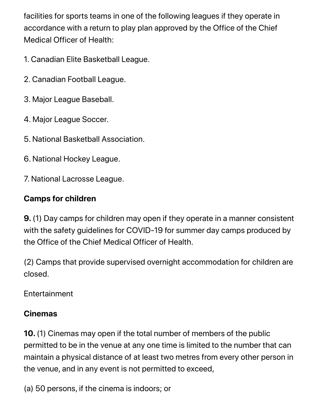facilities for sports teams in one of the following leagues if they operate in accordance with a return to play plan approved by the Office of the Chief Medical Officer of Health:

- 1. Canadian Elite Basketball League.
- 2. Canadian Football League.
- 3. Major League Baseball.
- 4. Major League Soccer.
- 5. National Basketball Association.
- 6. National Hockey League.
- 7. National Lacrosse League.

### **Camps for children**

**9.** (1) Day camps for children may open if they operate in a manner consistent with the safety guidelines for COVID-19 for summer day camps produced by the Office of the Chief Medical Officer of Health.

(2) Camps that provide supervised overnight accommodation for children are closed.

Entertainment

#### **Cinemas**

**10.** (1) Cinemas may open if the total number of members of the public permitted to be in the venue at any one time is limited to the number that can maintain a physical distance of at least two metres from every other person in the venue, and in any event is not permitted to exceed,

(a) 50 persons, if the cinema is indoors; or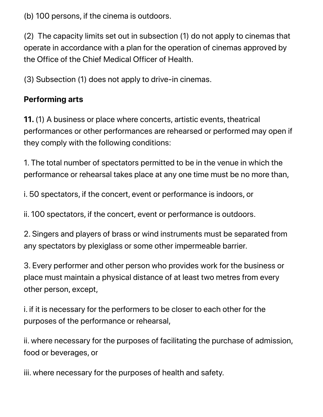(b) 100 persons, if the cinema is outdoors.

(2) The capacity limits set out in subsection (1) do not apply to cinemas that operate in accordance with a plan for the operation of cinemas approved by the Office of the Chief Medical Officer of Health.

(3) Subsection (1) does not apply to drive-in cinemas.

#### **Performing arts**

**11.** (1) A business or place where concerts, artistic events, theatrical performances or other performances are rehearsed or performed may open if they comply with the following conditions:

1. The total number of spectators permitted to be in the venue in which the performance or rehearsal takes place at any one time must be no more than,

i. 50 spectators, if the concert, event or performance is indoors, or

ii. 100 spectators, if the concert, event or performance is outdoors.

2. Singers and players of brass or wind instruments must be separated from any spectators by plexiglass or some other impermeable barrier.

3. Every performer and other person who provides work for the business or place must maintain a physical distance of at least two metres from every other person, except,

i. if it is necessary for the performers to be closer to each other for the purposes of the performance or rehearsal,

ii. where necessary for the purposes of facilitating the purchase of admission, food or beverages, or

iii. where necessary for the purposes of health and safety.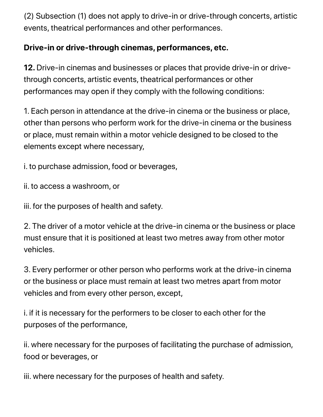(2) Subsection (1) does not apply to drive-in or drive-through concerts, artistic events, theatrical performances and other performances.

#### **Drive-in or drive-through cinemas, performances, etc.**

**12.** Drive-in cinemas and businesses or places that provide drive-in or drivethrough concerts, artistic events, theatrical performances or other performances may open if they comply with the following conditions:

1. Each person in attendance at the drive-in cinema or the business or place, other than persons who perform work for the drive-in cinema or the business or place, must remain within a motor vehicle designed to be closed to the elements except where necessary,

i. to purchase admission, food or beverages,

ii. to access a washroom, or

iii. for the purposes of health and safety.

2. The driver of a motor vehicle at the drive-in cinema or the business or place must ensure that it is positioned at least two metres away from other motor vehicles.

3. Every performer or other person who performs work at the drive-in cinema or the business or place must remain at least two metres apart from motor vehicles and from every other person, except,

i. if it is necessary for the performers to be closer to each other for the purposes of the performance,

ii. where necessary for the purposes of facilitating the purchase of admission, food or beverages, or

iii. where necessary for the purposes of health and safety.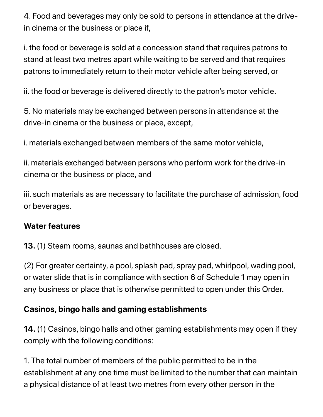4. Food and beverages may only be sold to persons in attendance at the drivein cinema or the business or place if,

i. the food or beverage is sold at a concession stand that requires patrons to stand at least two metres apart while waiting to be served and that requires patrons to immediately return to their motor vehicle after being served, or

ii. the food or beverage is delivered directly to the patron's motor vehicle.

5. No materials may be exchanged between persons in attendance at the drive-in cinema or the business or place, except,

i. materials exchanged between members of the same motor vehicle,

ii. materials exchanged between persons who perform work for the drive-in cinema or the business or place, and

iii. such materials as are necessary to facilitate the purchase of admission, food or beverages.

#### **Water features**

**13.** (1) Steam rooms, saunas and bathhouses are closed.

(2) For greater certainty, a pool, splash pad, spray pad, whirlpool, wading pool, or water slide that is in compliance with section 6 of Schedule 1 may open in any business or place that is otherwise permitted to open under this Order.

#### **Casinos, bingo halls and gaming establishments**

**14.** (1) Casinos, bingo halls and other gaming establishments may open if they comply with the following conditions:

1. The total number of members of the public permitted to be in the establishment at any one time must be limited to the number that can maintain a physical distance of at least two metres from every other person in the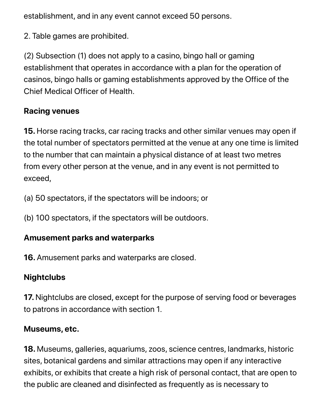establishment, and in any event cannot exceed 50 persons.

2. Table games are prohibited.

(2) Subsection (1) does not apply to a casino, bingo hall or gaming establishment that operates in accordance with a plan for the operation of casinos, bingo halls or gaming establishments approved by the Office of the Chief Medical Officer of Health.

#### **Racing venues**

**15.** Horse racing tracks, car racing tracks and other similar venues may open if the total number of spectators permitted at the venue at any one time is limited to the number that can maintain a physical distance of at least two metres from every other person at the venue, and in any event is not permitted to exceed,

- (a) 50 spectators, if the spectators will be indoors; or
- (b) 100 spectators, if the spectators will be outdoors.

#### **Amusement parks and waterparks**

**16.** Amusement parks and waterparks are closed.

### **Nightclubs**

**17.** Nightclubs are closed, except for the purpose of serving food or beverages to patrons in accordance with section 1.

#### **Museums, etc.**

**18.** Museums, galleries, aquariums, zoos, science centres, landmarks, historic sites, botanical gardens and similar attractions may open if any interactive exhibits, or exhibits that create a high risk of personal contact, that are open to the public are cleaned and disinfected as frequently as is necessary to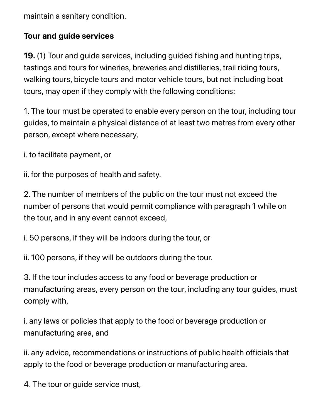maintain a sanitary condition.

#### **Tour and guide services**

**19.** (1) Tour and guide services, including guided fishing and hunting trips, tastings and tours for wineries, breweries and distilleries, trail riding tours, walking tours, bicycle tours and motor vehicle tours, but not including boat tours, may open if they comply with the following conditions:

1. The tour must be operated to enable every person on the tour, including tour guides, to maintain a physical distance of at least two metres from every other person, except where necessary,

i. to facilitate payment, or

ii. for the purposes of health and safety.

2. The number of members of the public on the tour must not exceed the number of persons that would permit compliance with paragraph 1 while on the tour, and in any event cannot exceed,

i. 50 persons, if they will be indoors during the tour, or

ii. 100 persons, if they will be outdoors during the tour.

3. If the tour includes access to any food or beverage production or manufacturing areas, every person on the tour, including any tour guides, must comply with,

i. any laws or policies that apply to the food or beverage production or manufacturing area, and

ii. any advice, recommendations or instructions of public health officials that apply to the food or beverage production or manufacturing area.

4. The tour or guide service must,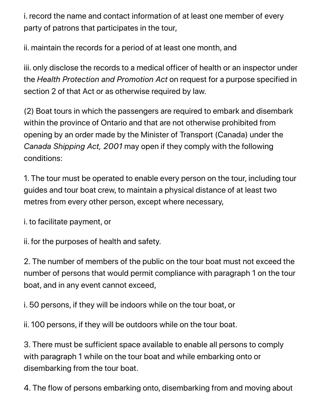i. record the name and contact information of at least one member of every party of patrons that participates in the tour,

ii. maintain the records for a period of at least one month, and

iii. only disclose the records to a medical officer of health or an inspector under the *Health Protection and Promotion Act* on request for a purpose specified in section 2 of that Act or as otherwise required by law.

(2) Boat tours in which the passengers are required to embark and disembark within the province of Ontario and that are not otherwise prohibited from opening by an order made by the Minister of Transport (Canada) under the *Canada Shipping Act, 2001* may open if they comply with the following conditions:

1. The tour must be operated to enable every person on the tour, including tour guides and tour boat crew, to maintain a physical distance of at least two metres from every other person, except where necessary,

i. to facilitate payment, or

ii. for the purposes of health and safety.

2. The number of members of the public on the tour boat must not exceed the number of persons that would permit compliance with paragraph 1 on the tour boat, and in any event cannot exceed,

i. 50 persons, if they will be indoors while on the tour boat, or

ii. 100 persons, if they will be outdoors while on the tour boat.

3. There must be sufficient space available to enable all persons to comply with paragraph 1 while on the tour boat and while embarking onto or disembarking from the tour boat.

4. The flow of persons embarking onto, disembarking from and moving about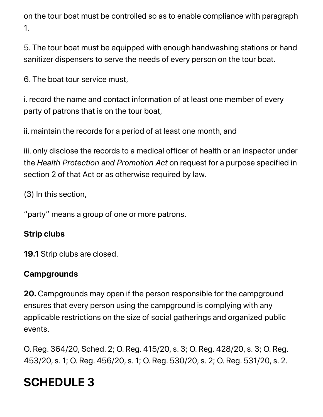on the tour boat must be controlled so as to enable compliance with paragraph 1.

5. The tour boat must be equipped with enough handwashing stations or hand sanitizer dispensers to serve the needs of every person on the tour boat.

6. The boat tour service must,

i. record the name and contact information of at least one member of every party of patrons that is on the tour boat,

ii. maintain the records for a period of at least one month, and

iii. only disclose the records to a medical officer of health or an inspector under the *Health Protection and Promotion Act* on request for a purpose specified in section 2 of that Act or as otherwise required by law.

(3) In this section,

"party" means a group of one or more patrons.

### **Strip clubs**

**19.1** Strip clubs are closed.

### **Campgrounds**

**20.** Campgrounds may open if the person responsible for the campground ensures that every person using the campground is complying with any applicable restrictions on the size of social gatherings and organized public events.

O. Reg. 364/20, Sched. 2; O. Reg. 415/20, s. 3; O. Reg. 428/20, s. 3; O. Reg. 453/20, s. 1; O. Reg. 456/20, s. 1; O. Reg. 530/20, s. 2; O. Reg. 531/20, s. 2.

# **SCHEDULE 3**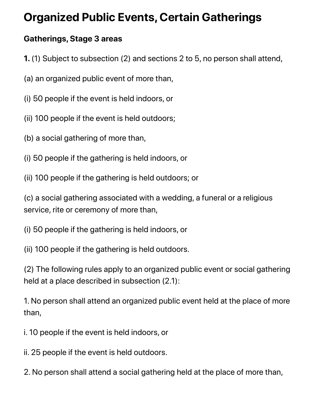# **Organized Public Events, Certain Gatherings**

#### **Gatherings, Stage 3 areas**

- **1.** (1) Subject to subsection (2) and sections 2 to 5, no person shall attend,
- (a) an organized public event of more than,
- (i) 50 people if the event is held indoors, or
- (ii) 100 people if the event is held outdoors;
- (b) a social gathering of more than,
- (i) 50 people if the gathering is held indoors, or
- (ii) 100 people if the gathering is held outdoors; or

(c) a social gathering associated with a wedding, a funeral or a religious service, rite or ceremony of more than,

- (i) 50 people if the gathering is held indoors, or
- (ii) 100 people if the gathering is held outdoors.

(2) The following rules apply to an organized public event or social gathering held at a place described in subsection (2.1):

1. No person shall attend an organized public event held at the place of more than,

i. 10 people if the event is held indoors, or

ii. 25 people if the event is held outdoors.

2. No person shall attend a social gathering held at the place of more than,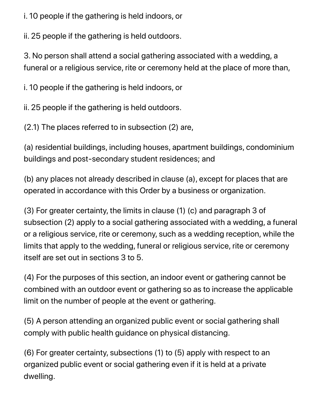i. 10 people if the gathering is held indoors, or

ii. 25 people if the gathering is held outdoors.

3. No person shall attend a social gathering associated with a wedding, a funeral or a religious service, rite or ceremony held at the place of more than,

i. 10 people if the gathering is held indoors, or

ii. 25 people if the gathering is held outdoors.

(2.1) The places referred to in subsection (2) are,

(a) residential buildings, including houses, apartment buildings, condominium buildings and post-secondary student residences; and

(b) any places not already described in clause (a), except for places that are operated in accordance with this Order by a business or organization.

(3) For greater certainty, the limits in clause (1) (c) and paragraph 3 of subsection (2) apply to a social gathering associated with a wedding, a funeral or a religious service, rite or ceremony, such as a wedding reception, while the limits that apply to the wedding, funeral or religious service, rite or ceremony itself are set out in sections 3 to 5.

(4) For the purposes of this section, an indoor event or gathering cannot be combined with an outdoor event or gathering so as to increase the applicable limit on the number of people at the event or gathering.

(5) A person attending an organized public event or social gathering shall comply with public health guidance on physical distancing.

(6) For greater certainty, subsections (1) to (5) apply with respect to an organized public event or social gathering even if it is held at a private dwelling.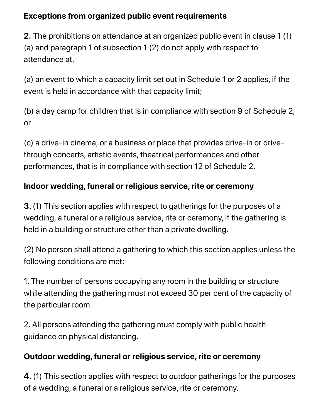#### **Exceptions from organized public event requirements**

**2.** The prohibitions on attendance at an organized public event in clause 1 (1) (a) and paragraph 1 of subsection 1 (2) do not apply with respect to attendance at,

(a) an event to which a capacity limit set out in Schedule 1 or 2 applies, if the event is held in accordance with that capacity limit;

(b) a day camp for children that is in compliance with section 9 of Schedule 2; or

(c) a drive-in cinema, or a business or place that provides drive-in or drivethrough concerts, artistic events, theatrical performances and other performances, that is in compliance with section 12 of Schedule 2.

### **Indoor wedding, funeral or religious service, rite or ceremony**

**3.** (1) This section applies with respect to gatherings for the purposes of a wedding, a funeral or a religious service, rite or ceremony, if the gathering is held in a building or structure other than a private dwelling.

(2) No person shall attend a gathering to which this section applies unless the following conditions are met:

1. The number of persons occupying any room in the building or structure while attending the gathering must not exceed 30 per cent of the capacity of the particular room.

2. All persons attending the gathering must comply with public health guidance on physical distancing.

### **Outdoor wedding, funeral or religious service, rite or ceremony**

**4.** (1) This section applies with respect to outdoor gatherings for the purposes of a wedding, a funeral or a religious service, rite or ceremony.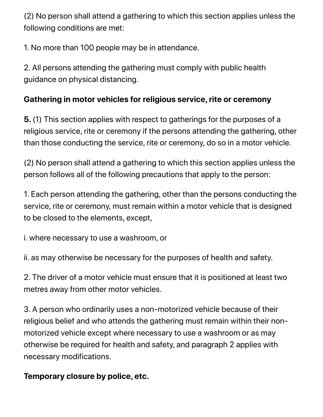(2) No person shall attend a gathering to which this section applies unless the following conditions are met:

1. No more than 100 people may be in attendance.

2. All persons attending the gathering must comply with public health guidance on physical distancing.

#### **Gathering in motor vehicles for religious service, rite or ceremony**

**5.** (1) This section applies with respect to gatherings for the purposes of a religious service, rite or ceremony if the persons attending the gathering, other than those conducting the service, rite or ceremony, do so in a motor vehicle.

(2) No person shall attend a gathering to which this section applies unless the person follows all of the following precautions that apply to the person:

1. Each person attending the gathering, other than the persons conducting the service, rite or ceremony, must remain within a motor vehicle that is designed to be closed to the elements, except,

i. where necessary to use a washroom, or

ii. as may otherwise be necessary for the purposes of health and safety.

2. The driver of a motor vehicle must ensure that it is positioned at least two metres away from other motor vehicles.

3. A person who ordinarily uses a non-motorized vehicle because of their religious belief and who attends the gathering must remain within their nonmotorized vehicle except where necessary to use a washroom or as may otherwise be required for health and safety, and paragraph 2 applies with necessary modifications.

**Temporary closure by police, etc.**